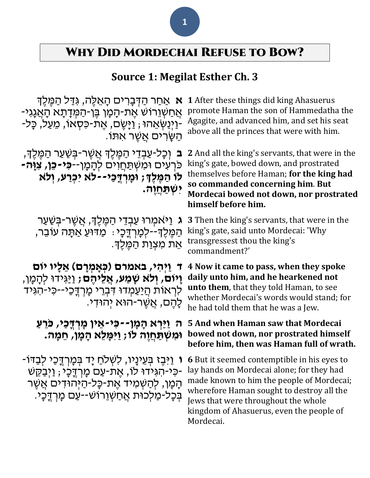## Why Did Mordechai Refuse to Bow?

### **Source 1: Megilat Esther Ch. 3**

**א** אַחַר הַדְּבָרִים הָאֵלֶּה, גִּדַּל הַמֶּלֶךְ ּ אֲחַשְׁוֵרוֹשׁ אֶת-הָמָן בֵּן-הַמְּדָתָא הָאֲגָיִ--וַיְּנַשְׂאֵהוּ ; וַיַּשֶׂם, אֵת-כִּסְאוֹ, מֵעַל, כָּל-ָהַשֶּׂרִים אֲשֶׁר אִתּו.

**ּב** וְכָל-עַבְדֵי הַמֶּלֶֽךָּ אֲשֶׁר-בְּשַׁעַר הַמֶּלֶךָּ, כִּרְעִים וּמִשְׁתַּחֲוִים לְהָמָן--**כִּי-כֵּו, צִוַּה-לֹו הַ מ ל ְך; ומָּ רְ דֳּכַי--ל ֹא יִּכְ רַ ע, וְ ל ֹא יִּשְ תַ חֲ ו ה.**

**ג** וַי ֹּאמְּ רּו עַ בְּ דֵ י הַ מֶּ לְֶּך, אֲ שֶּ ר-בְּ שַ עַ ר הַמֶּלֶךְ--לִמְרְדֶּכָי: מַדּוּעַ אַתָּה עוֹבֵר, אֵת מִצְוַת הַמֵּלֵךָ.

**ד וַיְהִּ י, באמרם )כְ אָּ מְ רָּ ם( אֵ לָּיו יֹום וַיִּוֹם, וְלֹא שַׁמַע, אֲלֶיהֶם;** וַיַּגְידוּ לְהַמֵן, לִרְאוֹת הֲיַעַמְדוּ דִּבְרֵי מָרְדֶּכַי--כִּי-הִגִּיד ַלְּהֶם, אֲשֶׁר-הוּא יְהוּדִי.

**ה וַיַרְ א הָּ מָּ ן-- כִּ י-אֵ ין מָּ רְ דֳּכַי, כֹרֵ עַ ו ִּמ ְשַתֲח וה לֹו; ַו ִּי ָּמ ֵלא ָּה ָּמן, ֵח ָּמה.**

**ו** וַיִּבֶז בְּעֵינָיו, לִשְׁלֹחַ יָד בְּמָרְדֶכֵי לְבַדּוֹ-הָמָן, לְהַשְׁמִיד אֶת-כָּל-הַיּהוּדים אֲשֵׁר ַ -כִּי-הִגְּידוּ לֹו, אֶת-עַם מַרְדֶּכָי; וַיְּבַקֶשׁ-בְּכָל-מַלְכוּת אֲחַשְׁוֵרוֹש--עַם מְרְדֶּכָי.

**1** After these things did king Ahasuerus promote Haman the son of Hammedatha the Agagite, and advanced him, and set his seat above all the princes that were with him.

**2** And all the king's servants, that were in the king's gate, bowed down, and prostrated themselves before Haman; **for the king had so commanded concerning him**. **But Mordecai bowed not down, nor prostrated himself before him.**

**3** Then the king's servants, that were in the king's gate, said unto Mordecai: 'Why transgressest thou the king's commandment?'

**4 Now it came to pass, when they spoke daily unto him, and he hearkened not unto them**, that they told Haman, to see whether Mordecai's words would stand; for he had told them that he was a Jew.

### **5 And when Haman saw that Mordecai bowed not down, nor prostrated himself before him, then was Haman full of wrath.**

**6** But it seemed contemptible in his eyes to lay hands on Mordecai alone; for they had made known to him the people of Mordecai; wherefore Haman sought to destroy all the Jews that were throughout the whole kingdom of Ahasuerus, even the people of Mordecai.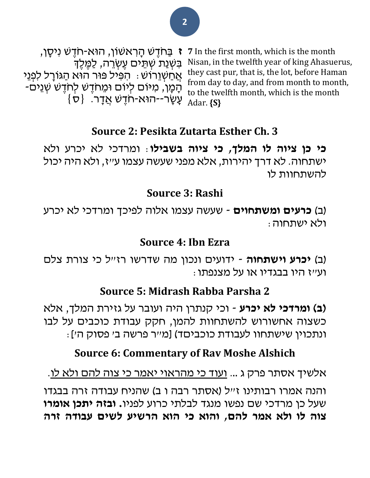**7** In the first month, which is the month Nisan, in the twelfth year of king Ahasuerus, they cast pur, that is, the lot, before Haman from day to day, and from month to month, to the twelfth month, which is the month Adar. **{S}**

**ז** בַ חֹּדֶּ ש הָ רִ אשֹון, הּוא-חֹּדֶּ ש נִיסָ ן, בִּשְׁנַת שְׁתֵּים עֶשְׂרֵה, לַמֶּלֵדְ אֲחַשְׁוֵרוֹש: הִפִּיל פּוּר הוּא הַגּוֹרָל לִפְנֵי ֿהָמָן, מיּום לְיום וּמֵחדֶשׁ לְחֹדֶשׁ שְׁנֵים- $\{ \sigma \}$  עַשָׂר--הוּא-חֹדֶשׁ אֲדָר.  $\{ \sigma \}$ 

## **Source 2: Pesikta Zutarta Esther Ch. 3**

**כי כן ציוה לו המלך, כי ציוה בשבילו**: ומרדכי לא יכרע ולא ישתחוה. לא דרך יהירות, אלא מפני שעשה עצמו ע"ז, ולא היה יכול להשתחוות לו

## **Source 3: Rashi**

)ב( **כרעים ומשתחוים** - שעשה עצמו אלוה לפיכך ומרדכי לא יכרע ולא ישתחוה:

## **Source 4: Ibn Ezra**

)ב( **יכרע וישתחוה** - ידועים ונכון מה שדרשו רז"ל כי צורת צלם  $:$ וע״ז היו בבגדיו או על מצנפתו

## **Source 5: Midrash Rabba Parsha 2**

**)ב( ומרדכי לא יכרע** - וכי קנתרן היה ועובר על גזירת המלך, אלא כשצוה אחשורוש להשתחוות להמן, חקק עבודת כוכבים על לבו ונתכוין שישתחוו לעבודת כוכביםד) [מייר פרשה ב' פסוק ה']:

## **Source 6: Commentary of Rav Moshe Alshich**

אלשיך אסתר פרק ג ... ועוד כי מהראוי יאמר כי צוה להם ולא לו.

והנה אמרו רבותינו ז"ל )אסתר רבה ו ב( שהניח עבודה זרה בבגדו שעל כן מרדכי שם נפשו מנגד לבלתי כרוע לפניו**. ובזה יתכן אומרו צוה לו ולא אמר להם, והוא כי הוא הרשיע לשים עבודה זרה**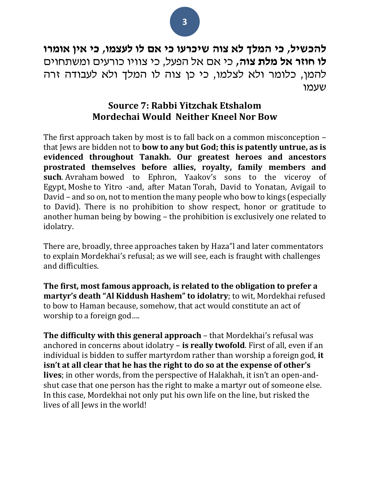**להכשיל, כי המלך לא צוה שיכרעו כי אם לו לעצמו, כי אין אומרו לו חוזר אל מלת צוה,** כי אם אל הפעל, כי צוויו כורעים ומשתחוים להמן, כלומר ולא לצלמו, כי כן צוה לו המלך ולא לעבודה זרה שעמו

### **Source 7: Rabbi Yitzchak Etshalom Mordechai Would Neither Kneel Nor Bow**

The first approach taken by most is to fall back on a common misconception – that Jews are bidden not to **bow to any but God; this is patently untrue, as is evidenced throughout Tanakh. Our greatest heroes and ancestors prostrated themselves before allies, royalty, family members and such**. Avraham bowed to Ephron, Yaakov's sons to the viceroy of Egypt, Moshe to Yitro -and, after Matan Torah, David to Yonatan, Avigail to David – and so on, not to mention the many people who bow to kings (especially to David). There is no prohibition to show respect, honor or gratitude to another human being by bowing – the prohibition is exclusively one related to idolatry.

There are, broadly, three approaches taken by Haza"l and later commentators to explain Mordekhai's refusal; as we will see, each is fraught with challenges and difficulties.

**The first, most famous approach, is related to the obligation to prefer a martyr's death "Al Kiddush Hashem" to idolatry**; to wit, Mordekhai refused to bow to Haman because, somehow, that act would constitute an act of worship to a foreign god….

**The difficulty with this general approach** – that Mordekhai's refusal was anchored in concerns about idolatry – **is really twofold**. First of all, even if an individual is bidden to suffer martyrdom rather than worship a foreign god, **it isn't at all clear that he has the right to do so at the expense of other's lives**; in other words, from the perspective of Halakhah, it isn't an open-andshut case that one person has the right to make a martyr out of someone else. In this case, Mordekhai not only put his own life on the line, but risked the lives of all Jews in the world!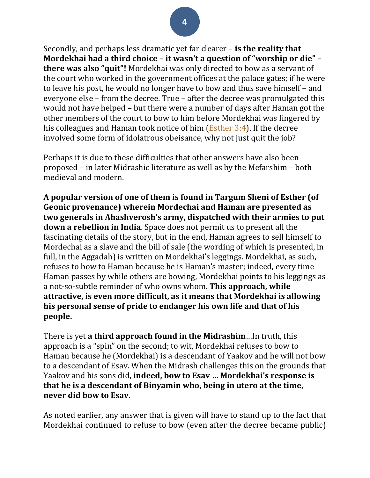Secondly, and perhaps less dramatic yet far clearer – **is the reality that Mordekhai had a third choice – it wasn't a question of "worship or die" – there was also "quit"!** Mordekhai was only directed to bow as a servant of the court who worked in the government offices at the palace gates; if he were to leave his post, he would no longer have to bow and thus save himself – and everyone else – from the decree. True – after the decree was promulgated this would not have helped – but there were a number of days after Haman got the other members of the court to bow to him before Mordekhai was fingered by his colleagues and Haman took notice of him [\(Esther](https://www.sefaria.org/Esther.3.4?lang=he-en&utm_source=torah.org&utm_medium=sefaria_linker) 3:4). If the decree involved some form of idolatrous obeisance, why not just quit the job?

Perhaps it is due to these difficulties that other answers have also been proposed – in later Midrashic literature as well as by the Mefarshim – both medieval and modern.

**A popular version of one of them is found in Targum Sheni of Esther (of Geonic provenance) wherein Mordechai and Haman are presented as two generals in Ahashverosh's army, dispatched with their armies to put down a rebellion in India**. Space does not permit us to present all the fascinating details of the story, but in the end, Haman agrees to sell himself to Mordechai as a slave and the bill of sale (the wording of which is presented, in full, in the Aggadah) is written on Mordekhai's leggings. Mordekhai, as such, refuses to bow to Haman because he is Haman's master; indeed, every time Haman passes by while others are bowing, Mordekhai points to his leggings as a not-so-subtle reminder of who owns whom. **This approach, while attractive, is even more difficult, as it means that Mordekhai is allowing his personal sense of pride to endanger his own life and that of his people.**

There is yet **a third approach found in the Midrashim**…In truth, this approach is a "spin" on the second; to wit, Mordekhai refuses to bow to Haman because he (Mordekhai) is a descendant of Yaakov and he will not bow to a descendant of Esav. When the Midrash challenges this on the grounds that Yaakov and his sons did, **indeed, bow to Esav … Mordekhai's response is that he is a descendant of Binyamin who, being in utero at the time, never did bow to Esav.**

As noted earlier, any answer that is given will have to stand up to the fact that Mordekhai continued to refuse to bow (even after the decree became public)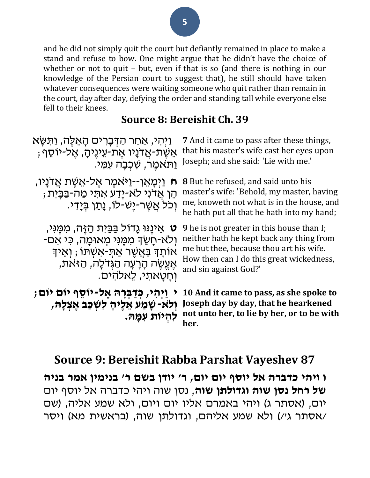and he did not simply quit the court but defiantly remained in place to make a stand and refuse to bow. One might argue that he didn't have the choice of whether or not to quit – but, even if that is so (and there is nothing in our knowledge of the Persian court to suggest that), he still should have taken whatever consequences were waiting someone who quit rather than remain in the court, day after day, defying the order and standing tall while everyone else fell to their knees.

### **Source 8: Bereishit Ch. 39**

| <u>וַיְהִי, אַחַר הַדְּבָרִים הָאֱלֵה, וַתְּשָּ</u> א                                               | 7 And it came to pass after these things,                                                                                             |
|-----------------------------------------------------------------------------------------------------|---------------------------------------------------------------------------------------------------------------------------------------|
| ּאֵשֶׁת-אֲדנָיו אֵת-עֵינֵיהָ, אֱל-יוֹסֵף ;                                                          | that his master's wife cast her eyes upon                                                                                             |
| וַתֹּאמֵר, שְׁכִבָּה עִמֵּי.                                                                        | Joseph; and she said: 'Lie with me.'                                                                                                  |
| ַוַיְכַּעְאֵן--וַיּאמֶר אֱל-אֵשֶׁת אֲדנַיו,                                                         | <b>8</b> But he refused, and said unto his                                                                                            |
| n                                                                                                   | master's wife: 'Behold, my master, having                                                                                             |
| ּהֵן אֲדני לֹא-יָדַע אתִּי מַה-בַּבָּית ;                                                           | me, knoweth not what is in the house, and                                                                                             |
| וְכֹל אֲשֶׁר-יֶשׁ-לוֹ, נָתַן בְּיָדִי.                                                              | he hath put all that he hath into my hand;                                                                                            |
| ָט אֱינֶנּוּ גַדוֹל בַּבֵּיִת הַזֶּה, מִמֱוִּי,                                                     | <b>9</b> he is not greater in this house than I;                                                                                      |
| ּוְלֹא-חָשַׂךְ מִמְּנִי מִאוּמָה, כִּי אִם-                                                         | neither hath he kept back any thing from                                                                                              |
| אוֹתָדְ בַּאֲשֶׁר אַתְּ-אַשְׁתּוֹ ; וְאֵידְ                                                         | me but thee, because thou art his wife.                                                                                               |
| אֶעֱשֶׂה הָרָעָה הַגְּדֹלָה, הַזּאת,                                                                | How then can I do this great wickedness,                                                                                              |
| וחטאתי, לאלהים.                                                                                     | and sin against God?'                                                                                                                 |
| ַיְהִי, כְּדַבְרָהּ אֶל-יוֹסֵף יוֹם יוֹם;<br>וְלֹא-שָׁמַע אֲלִיהָ לִשְׁכַּב אֱצְלָה,<br>להיות עמַה. | 10 And it came to pass, as she spoke to<br>Joseph day by day, that he hearkened<br>not unto her, to lie by her, or to be with<br>her. |

## **Source 9: Bereishit Rabba Parshat Vayeshev 87**

**ו ויהי כדברה אל יוסף יום יום, ר' יודן בשם ר' בנימין אמר בניה של רחל נסן שוה וגדולתן שוה** , נסן שוה ויהי כדברה אל יוסף יום יום, (אסתר ג) ויהי באמרם אליו יום ויום, ולא שמע אליה, (שם /אסתר ג'/( ולא שמע אליהם, וגדולתן שוה, )בראשית מא( ויסר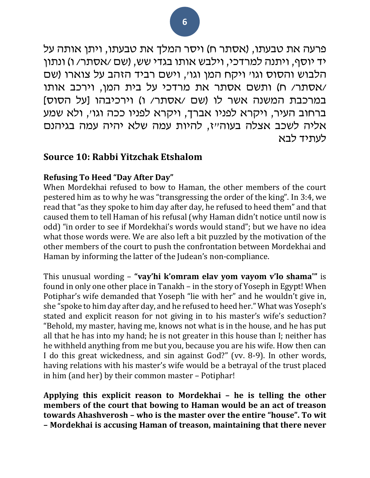פרעה את טבעתו, )אסתר ח( ויסר המלך את טבעתו, ויתן אותה על יד יוסף, ויתנה למרדכי, וילבש אותו בגדי שש, (שם /אסתר/ ו) ונתון הלבוש והסוס וגו' ויקח המן וגו', וישם רביד הזהב על צוארו )שם /אסתר/ ח( ותשם אסתר את מרדכי על בית המן, וירכב אותו במרכבת המשנה אשר לו (שם /אסתר/ ו) וירכיבהו [על הסוס] ברחוב העיר, ויקרא לפניו אברך, ויקרא לפניו ככה וגו', ולא שמע אליה לשכב אצלה בעוה"ז, להיות עמה שלא יהיה עמה בגיהנם לעתיד לבא

### **Source 10: Rabbi Yitzchak Etshalom**

#### **Refusing To Heed "Day After Day"**

When Mordekhai refused to bow to Haman, the other members of the court pestered him as to why he was "transgressing the order of the king". In 3:4, we read that "as they spoke to him day after day, he refused to heed them" and that caused them to tell Haman of his refusal (why Haman didn't notice until now is odd) "in order to see if Mordekhai's words would stand"; but we have no idea what those words were. We are also left a bit puzzled by the motivation of the other members of the court to push the confrontation between Mordekhai and Haman by informing the latter of the Judean's non-compliance.

This unusual wording – **"vay'hi k'omram elav yom vayom v'lo shama'"** is found in only one other place in Tanakh – in the story of Yoseph in Egypt! When Potiphar's wife demanded that Yoseph "lie with her" and he wouldn't give in, she "spoke to him day after day, and he refused to heed her." What was Yoseph's stated and explicit reason for not giving in to his master's wife's seduction? "Behold, my master, having me, knows not what is in the house, and he has put all that he has into my hand; he is not greater in this house than I; neither has he withheld anything from me but you, because you are his wife. How then can I do this great wickedness, and sin against God?" (vv. 8-9). In other words, having relations with his master's wife would be a betrayal of the trust placed in him (and her) by their common master – Potiphar!

**Applying this explicit reason to Mordekhai – he is telling the other members of the court that bowing to Haman would be an act of treason towards Ahashverosh – who is the master over the entire "house". To wit – Mordekhai is accusing Haman of treason, maintaining that there never**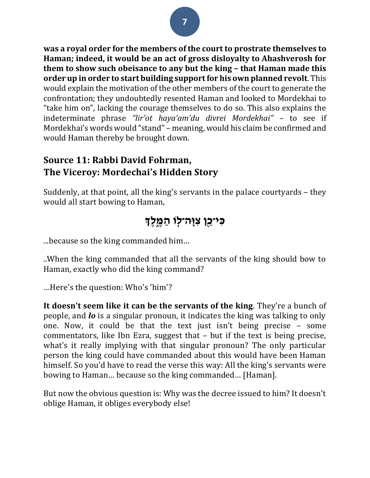**was a royal order for the members of the court to prostrate themselves to Haman; indeed, it would be an act of gross disloyalty to Ahashverosh for them to show such obeisance to any but the king – that Haman made this order up in order to start building support for his own planned revolt**. This would explain the motivation of the other members of the court to generate the confrontation; they undoubtedly resented Haman and looked to Mordekhai to "take him on", lacking the courage themselves to do so. This also explains the indeterminate phrase *"lir'ot haya'am'du divrei Mordekhai"* – to see if Mordekhai's words would "stand" – meaning, would his claim be confirmed and would Haman thereby be brought down.

### **Source 11: Rabbi David Fohrman, The Viceroy: Mordechai's Hidden Story**

Suddenly, at that point, all the king's servants in the palace courtyards – they would all start bowing to Haman,

## **ִּכי־ֵֵ֖כן ִּצָּוה־ ֣לֹו ַה ֶּ֑מ לְך**

...because so the king commanded him…

..When the king commanded that all the servants of the king should bow to Haman, exactly who did the king command?

…Here's the question: Who's 'him'?

**It doesn't seem like it can be the servants of the king**. They're a bunch of people, and *lo* is a singular pronoun, it indicates the king was talking to only one. Now, it could be that the text just isn't being precise – some commentators, like Ibn Ezra, suggest that – but if the text is being precise, what's it really implying with that singular pronoun? The only particular person the king could have commanded about this would have been Haman himself. So you'd have to read the verse this way: All the king's servants were bowing to Haman… because so the king commanded… [Haman].

But now the obvious question is: Why was the decree issued to him? It doesn't oblige Haman, it obliges everybody else!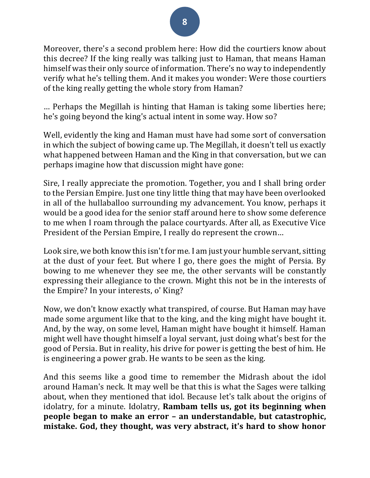Moreover, there's a second problem here: How did the courtiers know about this decree? If the king really was talking just to Haman, that means Haman himself was their only source of information. There's no way to independently verify what he's telling them. And it makes you wonder: Were those courtiers of the king really getting the whole story from Haman?

… Perhaps the Megillah is hinting that Haman is taking some liberties here; he's going beyond the king's actual intent in some way. How so?

Well, evidently the king and Haman must have had some sort of conversation in which the subject of bowing came up. The Megillah, it doesn't tell us exactly what happened between Haman and the King in that conversation, but we can perhaps imagine how that discussion might have gone:

Sire, I really appreciate the promotion. Together, you and I shall bring order to the Persian Empire. Just one tiny little thing that may have been overlooked in all of the hullaballoo surrounding my advancement. You know, perhaps it would be a good idea for the senior staff around here to show some deference to me when I roam through the palace courtyards. After all, as Executive Vice President of the Persian Empire, I really do represent the crown…

Look sire, we both know this isn't for me. I am just your humble servant, sitting at the dust of your feet. But where I go, there goes the might of Persia. By bowing to me whenever they see me, the other servants will be constantly expressing their allegiance to the crown. Might this not be in the interests of the Empire? In your interests, o' King?

Now, we don't know exactly what transpired, of course. But Haman may have made some argument like that to the king, and the king might have bought it. And, by the way, on some level, Haman might have bought it himself. Haman might well have thought himself a loyal servant, just doing what's best for the good of Persia. But in reality, his drive for power is getting the best of him. He is engineering a power grab. He wants to be seen as the king.

And this seems like a good time to remember the Midrash about the idol around Haman's neck. It may well be that this is what the Sages were talking about, when they mentioned that idol. Because let's talk about the origins of idolatry, for a minute. Idolatry, **Rambam tells us, got its beginning when people began to make an error – an understandable, but catastrophic, mistake. God, they thought, was very abstract, it's hard to show honor**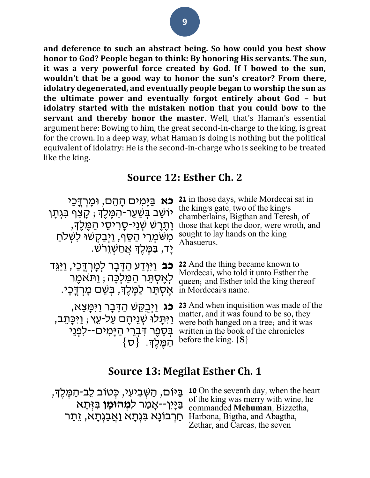**and deference to such an abstract being. So how could you best show honor to God? People began to think: By honoring His servants. The sun, it was a very powerful force created by God. If I bowed to the sun, wouldn't that be a good way to honor the sun's creator? From there, idolatry degenerated, and eventually people began to worship the sun as the ultimate power and eventually forgot entirely about God – but idolatry started with the mistaken notion that you could bow to the servant and thereby honor the master**. Well, that's Haman's essential argument here: Bowing to him, the great second-in-charge to the king, is great for the crown. In a deep way, what Haman is doing is nothing but the political equivalent of idolatry: He is the second-in-charge who is seeking to be treated like the king.

### **Source 12: Esther Ch. 2**

**כֹא** בַּיַּמִים הַהֵם, וּמַרְדֵּכֵי ֿיוֹשֵׁב בְּשַׁעַר-הַמֶּלֶךְ; קָצַף בִּגְתָן ַ וָּתֶרֵשׁ שְׁנֵי-סָרִיסֵי הַמֵּלֵךְ, מִשִּׁמְרֵי הַסֵּף, וַיְּבַקְשִׁוּ לִשְׁלֹחַ ַיָּד, בַמֶּלֶךְ אֲחַשְׁוֵרֹש.

**21** in those days, while Mordecai sat in the king's gate, two of the king's chamberlains, Bigthan and Teresh, of those that kept the door, were wroth, and sought to lay hands on the king Ahasuerus.

**כב** וַיִּוָּדַע הַדָּבָר לְמָרְדֶכַי, וַיַּגֵּד לְאֶסְתֵּר הַמַּלְכָה; <u>ו</u>ַתֹּאמֵר ּ אֵסְתֵּר לַמֶּלֶךָ, בִּשֶׁם מָרְדֶּכָי.

ָ**כֹּג** וַיְּבֻקַּשׁ הַדָּבָר וַיִּמְּצֵא, ַוַּיִּתָּלוּ שְׁנֵיהֶם עַל-עֵץ ; וַיִּכְּתֵב, ַ בְּסֵפֶר דִּבְרֵי הַיָּמִים--לִפְּנֵי  $\{\boldsymbol{\sigma}\}$ ּ הַמֶּלֶךָ.  $\{\boldsymbol{\sigma}\}$ 

**22** And the thing became known to Mordecai, who told it unto Esther the queen; and Esther told the king thereof in Mordecai's name.

**23** And when inquisition was made of the matter, and it was found to be so, they were both hanged on a tree; and it was written in the book of the chronicles before the king. **{S}**

### **Source 13: Megilat Esther Ch. 1**

בַיָּיִן--אָמַר ל**ִמְהוֹמַן** בִּזְּתָא חַרְבוֹנָא בִּגְתָא וַאֲבַגְתָא, זֵתַר Harbona, Bigtha, and Abagtha,

**10** בִּיּוֹם, הַשְּׁבִיעִי, כְּטוֹב לֵב-הַמֶּלֶךְ, IoOn the seventh day, when the heart of the king was merry with wine, he commanded **Mehuman**, Bizzetha, Zethar, and Carcas, the seven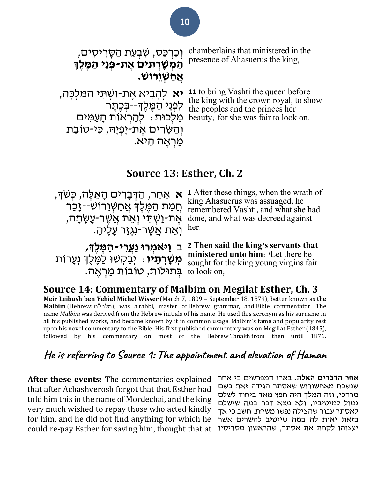| וְכַרְכַּס, שִׁבְעַת הַסָּרִיסִים,<br>הַמְשַׁרְתִים אֶת-פְּנֵי הַמֶּלֶךְ<br><u>אַחַשְוֵרוּשׁ</u> | chamberlains that ministered in the<br>presence of Ahasuerus the king, |
|--------------------------------------------------------------------------------------------------|------------------------------------------------------------------------|
| <b>יא</b> להָבִיא אֶת-וַשְׁתִּי הַמַּלְכָּה,                                                     | 11 to bring Vashti the queen before                                    |
| מַלְכוּת: לְהַרְאוֹת הָעֲמִים                                                                    | the king with the crown royal, to show                                 |
| וְהַשְּׂרִים אֶת-יָפְיָהּ, כִּי-טוֹבַת                                                           | ה לפְנֵי הַמֶּלֶךְ--בְּכֶתֶר the peoples and the princes her           |
| ַמַּרְאָה הִיא.                                                                                  | beauty; for she was fair to look on.                                   |

### **Source 13: Esther, Ch. 2**

َ הַ מַּתְּה גָּיֹ king Ahasuerus was assuaged, he<br>תְּמַת הַמֶּלֶךְ אֲחַשְׁוֵרוֹשׁ--זָכַר <sub>remembered Vashti, and what she</sub> ּוְאֵת אֲשֶׁר-נִגְזַר עָלֶיהָ. her.

**אַ אַחַר, הַדְּבְרִים הָאֵלֶה, כְּשֹׁדָּ,** After these things, when the wrath of ּאֶת-וַשְׁתִּי וְאֵת אֲשֶׁר-עָשָׂתָה, done, and what was decreed against remembered Vashti, and what she had

**מְשָׁרְתָיו**ּ: יְבַקְשׁוּ לַמֶּלֶךְ נְעָרוֹת בְּתוּלוֹת, טובות מַרְאֶה.<br>בְּתוּלוֹת, טובות מַרְאֶה.

ב **וַי ֹאמְ רו נַעֲרֵ י- הַ מ ל ְך, 2 Then said the king's servants that ministered unto him**: 'Let there be sought for the king young virgins fair

**Source 14: Commentary of Malbim on Megilat Esther, Ch. 3 Meir Leibush ben Yehiel Michel Wisser** (March 7, 1809 – September 18, 1879), better known as **the Malbim** [\(Hebrew:](https://en.wikipedia.org/wiki/Hebrew_language) מלבי"ם), was a [rabbi,](https://en.wikipedia.org/wiki/Rabbi) master of [Hebrew grammar,](https://en.wikipedia.org/wiki/Hebrew_grammar) and [Bible commentator.](https://en.wikipedia.org/wiki/Meforshim) The name *Malbim* was derived from the [Hebrew](https://en.wikipedia.org/wiki/Hebrew_alphabet) initials of his name. He used this acronym as his surname in all his published works, and became known by it in common usage. Malbim's fame and popularity rest upon his novel commentary to the Bible. His first published commentary was on [Megillat Esther](https://en.wikipedia.org/wiki/Book_of_Esther) (1845), followed by his commentary on most of the Hebrew [Tanakh](https://en.wikipedia.org/wiki/Tanakh) from then until 1876.

## **He is referring to Source 1: The appointment and elevation of Haman**

**After these events:** The commentaries explained that after Achashverosh forgot that that Esther had told him this in the name of Mordechai, and the king very much wished to repay those who acted kindly for him, and he did not find anything for which he could re-pay Esther for saving him, thought that at **אחר הדברים האלה.** בארו המפרשים כי אחר שנשכח מאחשורוש שאסתר הגידה זאת בשם מרדכי, וזה המלך היה חפץ מאד ביחוד לשלם גמול למיטיביו, ולא מצא דבר במה שישלם לאסתר עבור שהצילה נפשו משחת, חשב כי אך בזאת יאות לה במה שייטיב להשרים אשר יעצוהו לקחת את אסתר, שהראשון מסריסיו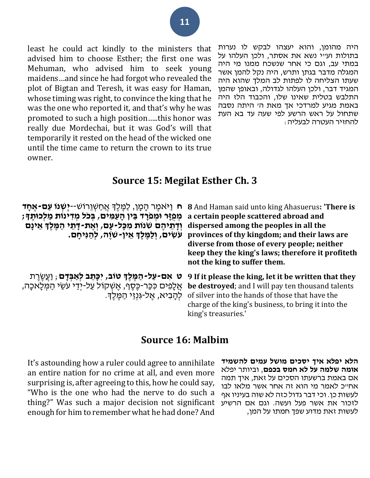היה מהומן, והוא יעצהו לבקש לו נערות בתולות וע"י נשא את אסתר, ולכן העלהו על במתי עב, וגם כי אחר שנשכח ממנו מי היה המגלה מדבר בגתן ותרש, היה נקל להמן אשר שעתו הצליחה לו לפתות לב המלך שהוא היה המגיד דבר, ולכן העלהו לגדולה, ובאופן שהמן התלבש בטלית שאינו שלו, והכבוד הלז היה באמת מגיע למרדכי אך מאת ה' היתה נסבה שתחול על ראש הרשע לפי שעה עד בא העת להחזיר העטרה לבעליה:

least he could act kindly to the ministers that advised him to choose Esther; the first one was Mehuman, who advised him to seek young maidens…and since he had forgot who revealed the plot of Bigtan and Teresh, it was easy for Haman, whose timing was right, to convince the king that he was the one who reported it, and that's why he was promoted to such a high position…..this honor was really due Mordechai, but it was God's will that temporarily it rested on the head of the wicked one until the time came to return the crown to its true owner.

### **Source 15: Megilat Esther Ch. 3**

| מְפִזֵּר וּמְפֹרַד בֵּין הַעֲמִים, בִּכֹל מִדְינוֹת מַלְכוּתֵדָ;<br>וְדָתֵיהֶם שִׁנוֹת מִכָּל-עָם, וְאֵת-דָתֵי הַמֵּלֵךְ אֵינָם<br>ּעֹשְׂים, וְלַמְּלֶךְ אֵין-שׁוֶה, לְהַנִּיחַם. | B And Haman said unto king Ahasuerus: "There is תּ וַיּאמֶר הָמָן, לַמֶּלֶךְ אֲחַשְׁוֵרוֹשׁ--י <b>ַשְׁנוֹ עַם-אֵחָד</b><br>a certain people scattered abroad and<br>dispersed among the peoples in all the<br>provinces of thy kingdom; and their laws are<br>diverse from those of every people; neither<br>keep they the king's laws; therefore it profiteth<br>not the king to suffer them. |
|-----------------------------------------------------------------------------------------------------------------------------------------------------------------------------------|------------------------------------------------------------------------------------------------------------------------------------------------------------------------------------------------------------------------------------------------------------------------------------------------------------------------------------------------------------------------------------------------|
| ּט אִם-עַל-הַמֶּלֶךְ טוֹב, יִכָּתֶב לְאַבְּדָם ; וַעֲשֶׂרֶת<br>אֲלָפִים כִּכַּר-כֶּסֶף, אֱשְׁקוֹל עַל-יִדֵי עֹשֵׂי הַמִּלָאכָה,<br>לְהַבִיא, אֱל-גְּנְזֵי הַמֱלֵךָ.               | 9 If it please the king, let it be written that they<br>be destroyed; and I will pay ten thousand talents<br>of silver into the hands of those that have the<br>charge of the king's business, to bring it into the<br>king's treasuries.'                                                                                                                                                     |

### **Source 16: Malbim**

**הלא יפלא איך יסכים מושל עמים להשמיד אומה שלמה על לא חמס בכפם**, וביותר יפלא אם באמת ברשעתו הסכים על זאת, איך תמה אח"כ לאמר מי הוא זה אחר אשר מלאו לבו לעשות כן. וכי דבר גדול כזה לא שוה בעיניו אף לזכור את אשר פעל ועשה. וגם אם הרשיע לעשות זאת מדוע שפך חמתו על המן,

It's astounding how a ruler could agree to annihilate an entire nation for no crime at all, and even more surprising is, after agreeing to this, how he could say, "Who is the one who had the nerve to do such a thing?" Was such a major decision not significant enough for him to remember what he had done? And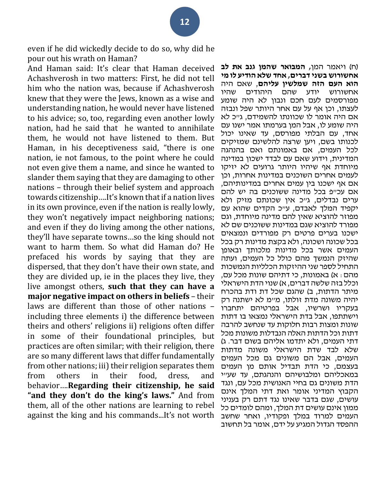even if he did wickedly decide to do so, why did he pour out his wrath on Haman?

And Haman said: It's clear that Haman deceived Achashverosh in two matters: First, he did not tell him who the nation was, because if Achashverosh knew that they were the Jews, known as a wise and understanding nation, he would never have listened to his advice; so, too, regarding even another lowly nation, had he said that he wanted to annihilate them, he would not have listened to them. But Haman, in his deceptiveness said, "there is one nation, ie not famous, to the point where he could not even give them a name, and since he wanted to slander them saying that they are damaging to other nations – through their belief system and approach towards citizenship….It's known that if a nation lives in its own province, even if the nation is really lowly, they won't negatively impact neighboring nations; and even if they do living among the other nations, they'll have separate towns…so the king should not want to harm them. So what did Haman do? He prefaced his words by saying that they are dispersed, that they don't have their own state, and they are divided up, ie in the places they live, they live amongst others, **such that they can have a major negative impact on others in beliefs** – their laws are different than those of other nations – including three elements i) the difference between theirs and others' religions ii) religions often differ in some of their foundational principles, but practices are often similar; with their religion, there are so many different laws that differ fundamentally from other nations; iii) their religion separates them from others in their food, dress, and behavior….**Regarding their citizenship, he said "and they don't do the king's laws."** And from them, all of the other nations are learning to rebel against the king and his commands...It's not worth

)ח( ויאמר המן**, המבואר שהמן גנב את לב אחשורוש בשני דברים, אחד שלא הודיע לו מי הוא העם הזה שמלשין עליהם**, שאם היה אחשורוש יודע שהם היהודים שהיו מפורסמים לעם חכם ונבון לא היה שומע לעצתו, וכן אף על עם אחר היותר שפל ונבזה אם היה אומר לו שכוונתו להשמידם, ג"כ לא היה שומע לו, אבל המן בערמתו אמר ישנו עם אחד, עם הבלתי מפורסם, עד שאינו יכול לכנותו בשם, ויען שרצה להלשינם שמזיקים לכל העמים, אם באמונתם ואם בהנהגה המדינית, וידוע שאם עם לבדד ישכון במדינה מיוחדת אף שיהיו היותר גרועים לא יזיקו לעמים אחרים השוכנים במדינות אחרות, וכן אם אף ישכנו בין עמים אחרים במדינותיהם, אם עכ״פ בכל מדינה ששוכנים בה יש להם ערים נבדלים, גייכ אין שכונתם מזיק ולא יקפיד המלך לאבדם, ע"כ הקדים שהוא עם מפוזר להוציא שאין להם מדינה מיוחדת, וגם מפורד להוציא שגם במדינות ששוכנים שם לא ישכנו בערים פרטים רק מפורדים ונמצאים בכל שכונה ושכונה, ולא בקצת מדינות רק בכל העמים אשר בכל מדינות מלכותך ובאופן שהיזק הנמשך מהם כולל כל העמים, ועתה התחיל לספר שני ההיזקות הכלליות הנמשכות מהם : א) באמונות, כי דתיהם שונות מכל עם, וכלל בזה שלשה דברים, א) שנוי הדת הישראלי מיתר הדתות, ב) שהגם שכל דת ודת בהכרח יהיה משונה מדת זולתו, מ"מ לא ישתנה רק בעקריו ושרשיו, אבל בפרטיהם יתחברו וישתתפו, אבל בדת הישראלי נמצאו בו דתות שונות ומצות רבות חלוקות עד שנחשב להרבה דתות וכל הדתות האלה הנבדלות משונות מכל דתי העמים, ולא יתדמו אליהם בשום דבר. ג( שלא לבד שדת הישראלי משונה מדתות העמים, אבל הם משונים גם מכל העמים בעצמם, כי הדת תבדיל אותם מן העמים במאכליהם ומלבושיהם והנהגתם, עד שע"י הדת משונים גם בחיי האנושית מכל עם, ונגד הקבוץ המדיני אומר ואת דתי המלך אינם עושים, שגם בדבר שאינו נגד דתם רק בעניני ממון אינם עושים דת המלך, ומהם לומדים כל העמים למרוד במלך ופקודיו, ואחר שחשב ההפסד הגדול המגיע על ידם, אומר בל תחשוב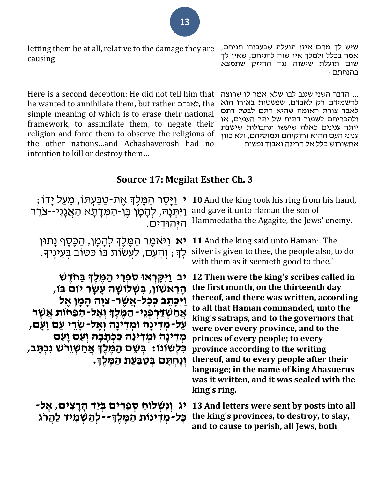letting them be at all, relative to the damage they are causing

Here is a second deception: He did not tell him that he wanted to annihilate them, but rather לאבדם, the simple meaning of which is to erase their national framework, to assimilate them, to negate their religion and force them to observe the religions of the other nations…and Achashaverosh had no intention to kill or destroy them…

שיש לך מהם איזו תועלת שבעבורו תניחם, אמר בכלל ולמלך אין שוה להניחם, שאין לך שום תועלת שישוה נגד ההיזק שתמצא בהנחתם:

... הדבר השני שגנב לבו שלא אמר לו שרוצה להשמידם רק לאבדם, שפשטות באורו הוא לאבד צורת האומה שהיא דתם לבטל דתם ולהכריחם לשמור דתות של יתר העמים, או יותר ענינים כאלה שיעשו תחבולות שישבת עניני העם ההוא וחוקיהם ונמוסיהם, ולא כוון אחשורוש כלל אל הריגה ואבוד נפשות

### **Source 17: Megilat Esther Ch. 3**

י וַיָּסַר הַמֵּלֵךְ אֶת-טַבַּעִתּוֹ, מֵעַל יָדוֹ ; ַוַיִּתְּנָהּ, לְהָמָן בֶּן-הַמְּדָתָא הָאֲגָגי--צֹרֵר ַהְּיהּו ִדים.

**יא** וַיּאמֶר הַמֶּלֶךְ לְהָמָן, הַכֶּסֶף נָתוּן ּלָךָ; וְהָעָם, לַעֲשׂוֹת בֹּוֹ כַּטוֹב בְּעֵינֶיךָ.

**יב ַו ִּי ָּקְראו ֹס ְפֵרי ַה מל ְך בַ חֹד ש הָּ רִּ אשֹון, בִּ שְ לֹושָּ ה עָּ שָּ ר יֹום בֹו, ַו ִּי ָּכ ֵתב ְכ ָּכל-אֲ ש ר -צִּ וָּה הָּ מָּ ן א ל אֲ חַ שְ דַ רְ פְ נֵי-הַ מ ל ְך וְ א ל-הַ פַחֹות אֲ ש ר**  עַל-מְדִּינָה וּמְדִינָה וְאֵל-שָׂרֵי עַם וַעַּם*,* מְדִּינָה וּמְדִינָה כִּכְתָבָהּ וְעַם וָעָם **כִּ לְשֹונֹו: בְ שֵ ם הַ מ ל ְך אֲ חַ שְ וֵרֹש נִּכְ תָּ ב, וְנֵחְתַּם בְּטַבַּעַת הַמֶּלֶךָ.** 

יג וְנִשְׁלוֹחַ סְפָרִיּם בְּיַד הָרָצִים*,* אֶל-כָּל-מִדִינות הַמֶּלֶךְ--לְהַשְׁמִיד לַהַרג

**10** And the king took his ring from his hand, and gave it unto Haman the son of Hammedatha the Agagite, the Jews' enemy.

**11** And the king said unto Haman: 'The silver is given to thee, the people also, to do with them as it seemeth good to thee.'

**12 Then were the king's scribes called in the first month, on the thirteenth day thereof, and there was written, according to all that Haman commanded, unto the king's satraps, and to the governors that were over every province, and to the princes of every people; to every province according to the writing thereof, and to every people after their language; in the name of king Ahasuerus was it written, and it was sealed with the king's ring.**

**13 And letters were sent by posts into all the king's provinces, to destroy, to slay, and to cause to perish, all Jews, both**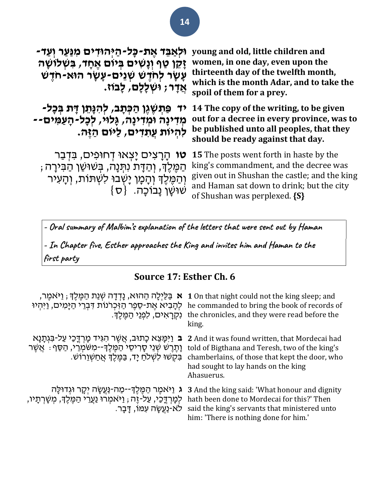| וּלְאַבֵּד אֶת-כָּל-הַיְּהוּדִים מִנַּעַר וְעַד-<br>ַזְקֵן טַף וְנָשִׁים בִּיוֹם אֵחָד, בִּשְׁלוֹשָׁה<br>עָׁשָׂר לְחֹדָשׁ שְׁנֵים-עָשָׂר הוּא-חִדָּשׁ<br>אֲדָר; וּשִׁלַלַם, לַבוֹז.                | young and old, little children and<br>women, in one day, even upon the<br>thirteenth day of the twelfth month,<br>which is the month Adar, and to take the<br>spoil of them for a prey.                                 |
|----------------------------------------------------------------------------------------------------------------------------------------------------------------------------------------------------|-------------------------------------------------------------------------------------------------------------------------------------------------------------------------------------------------------------------------|
| יד פַּתְשָׁגֶן הַכְּתָב, לְהִנָּתֵן דָּת בְּכָל-<br>מִדִינַה וּמִדִינָה, גְּלוּי, לְכָל-הָעַמִּים--<br>לְהְיוֹת עֲתִדִים, לַיּוֹם הַזֶּה.                                                          | 14 The copy of the writing, to be given<br>out for a decree in every province, was to<br>be published unto all peoples, that they<br>should be ready against that day.                                                  |
| הָרָצִים יָצְאוּ דְחוּפִים, בִּדְבַר<br>טו<br>ְהַמֶּלֶךְ, וְהַדָּת נִתְּנָה, בְּשׁוּשַׁן הַבִּירָה ;<br>וְהַמֶּלֶךְ וְהָמָן יַשְׁבוּ לִשְׁתּוֹת, וְהָעִיר<br>$\{\sigma\}$ שושו נבוכה. $\{\sigma\}$ | <b>15</b> The posts went forth in haste by the<br>king's commandment, and the decree was<br>given out in Shushan the castle; and the king<br>and Haman sat down to drink; but the city<br>of Shushan was perplexed. {S} |

**- Oral summary of Malbim's explanation of the letters that were sent out by Haman**

**- In Chapter five, Esther approaches the King and invites him and Haman to the first party**

### **Source 17: Esther Ch. 6**

| ֹא בַּלַיִלָה הַהוּא, נַדְדָה שְׁנַת הַמֶּלֶךְ ; וַיּּאמֵר,<br>לְהָבִיא אֱת-סֶפֵר הַיִּכְרֹנוֹת דְּבְרֵי הַיָּמִים, וַיִּהִיוּ<br>ַנְקְרָאִים, לְפְנֵי הַמֶּלֶךָ.                        | 1 On that night could not the king sleep; and<br>he commanded to bring the book of records of<br>the chronicles, and they were read before the<br>king.                                                |
|------------------------------------------------------------------------------------------------------------------------------------------------------------------------------------------|--------------------------------------------------------------------------------------------------------------------------------------------------------------------------------------------------------|
| ּב וַיִּמַּצֵא כָתוּב, אֲשֶׁר הִגְּיד מַרְדֵּכַי עַל-בִּגְתָנָא<br>וָהֶרֶשׁ שְׁנֵי סָרִיסֵי הַמֶּלֶךְ--מִשֹּׁמְרֵי, הַסֵּף : אֲשֵׁר<br>ַבְקָשׁוּ לְשָׁלֹחַ יַד, בַּמֶלֶךְ אֲחַשְׁוֵרוֹשׁ | 2 And it was found written, that Mordecai had<br>told of Bigthana and Teresh, two of the king's<br>chamberlains, of those that kept the door, who<br>had sought to lay hands on the king<br>Ahasuerus. |
| ג וַיּאמֵר הַמֵּלֵךְ--מַה-נַּעֲשָׂה יִקָר וּגִדוּלָה ׁ<br>לִמְרִדֶּכֵי, עַל-זֵה , וַיּאמִרוּ וַעֲרֵי הַמֵּלֶךָ, מִשָּׁרְתָיו,<br>ַלֹא-נַעֲשָׂה עָמוֹ, דַּבַר                             | <b>3</b> And the king said: 'What honour and dignity<br>hath been done to Mordecai for this?' Then<br>said the king's servants that ministered unto<br>him: 'There is nothing done for him.'           |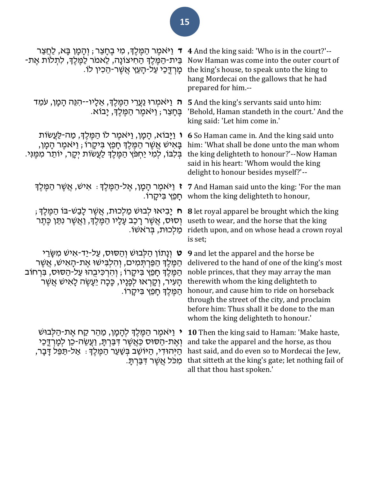| ד וַיֹּאמֵר הַמֵּלֵךְ, מִי בֵּחָצֵר ; וְהָמָן בָּא, לַחֲצַר<br>בֵּית-הַמֵּלֵךְ הַחִיצוֹנָה, לֵאמֹר לַמֵּלֵךְ, לִתְלוֹת אֵת-<br>ּמָרְדֶכַי עַל-הָעֵץ אֲשֵׁר-הֵכִין לוֹ.                                                                                                                       | 4 And the king said: 'Who is in the court?'--<br>Now Haman was come into the outer court of<br>the king's house, to speak unto the king to<br>hang Mordecai on the gallows that he had<br>prepared for him.--                                                                                                                                                                 |
|----------------------------------------------------------------------------------------------------------------------------------------------------------------------------------------------------------------------------------------------------------------------------------------------|-------------------------------------------------------------------------------------------------------------------------------------------------------------------------------------------------------------------------------------------------------------------------------------------------------------------------------------------------------------------------------|
| ה וַיּאמְרוּ נַעֲרֵי הַמֶּלֶךְ, אֵלָיו--הִנֵּה הָמָן, עֹמֵד<br>ְבֵּחָצֵר ; וַיּאמֵר הַמֵּלֵךְ, יָבוֹא.                                                                                                                                                                                       | <b>5</b> And the king's servants said unto him:<br>'Behold, Haman standeth in the court.' And the<br>king said: 'Let him come in.'                                                                                                                                                                                                                                            |
| ּו וַיָּבוֹא, הָמָן, וַיּאמֵר לוֹ הַמֵּלֵךְ, מַה-לַּעֲשׂוֹת<br>בָּאִישׁ אֲשֶׁר הַמֶּלֶךְ חָפֵץ בִּיקָרוֹ ; וַיּאמֶר הָמָן,<br>בִּלְבּוֹ, לִמְי יַחִפֵּׂץ הַמֵּלֵךְ לַעֲשׂוֹת יִקָר, יוֹתֵר מִמֵּנִי.                                                                                         | 6 So Haman came in. And the king said unto<br>him: 'What shall be done unto the man whom<br>the king delighteth to honour?'--Now Haman<br>said in his heart: 'Whom would the king<br>delight to honour besides myself?'--                                                                                                                                                     |
| <b>ז</b> וַיֹּאמֶר הָמָן, אֶל-הַמֶּלֶךְ ּ. אִישׁ, אֲשֶׁר הַמֶּלֶךְ<br>ַחַפֵּץ בִּיקֵרוֹ.                                                                                                                                                                                                     | 7 And Haman said unto the king: 'For the man<br>whom the king delighteth to honour,                                                                                                                                                                                                                                                                                           |
| ּח יָבִיאוּ לִבוּשׁ מַלִכוּת, אֲשֵׁר לָבַשׁ-בּוֹ הַמֵּלֵךְ,<br>וְסוּס, אֲשֶׁר רָכַב עָלָיו הַמֵּלֵךְ, וַאֲשֵׁר נִתַּן כֵּתֵר<br>ַמַלְכוּת, בִּרֹאשׁוֹ.                                                                                                                                       | <b>8</b> let royal apparel be brought which the king<br>useth to wear, and the horse that the king<br>rideth upon, and on whose head a crown royal<br>is set;                                                                                                                                                                                                                 |
| ט וְנָתוֹן הַלְבוּשׁ וְהַסוּס, עַל-יַד-אִישׁ מִשֶּׂרֵי<br>ּהַמֶּלֶךְ הַפַּרְתְּמִים, וְהִלְבִּישׁוּ אֶת-הָאִישׁ, אֲשֶׁר<br>הַמֶּלֶךְ חָפֵץ בִּיקָרוֹ ; וְהִרְכִּיבָהוּ עַל-הַסּוּס, בִּרְחוֹב<br>ֿקִעִּיר, וְקָרְאוּ לְפָנָיו, כָּכָה יֵעָשֶׂה לָאִישׁ אֲשֶׁר<br>ּהַמֵּלֵךְ חָפֵץ בִּיקָרוֹ. | <b>9</b> and let the apparel and the horse be<br>delivered to the hand of one of the king's most<br>noble princes, that they may array the man<br>therewith whom the king delighteth to<br>honour, and cause him to ride on horseback<br>through the street of the city, and proclaim<br>before him: Thus shall it be done to the man<br>whom the king delighteth to honour.' |
| י וַיּאמֶר הַמֶּלֶךְ לְהָמָן, מַהֵר קַח אֶת-הַלְּבוּשׁ<br>וְאֶת-הַסּוּס כַּאֲשֶׁר דָּבַּרְתָּ, וַעֲשֵׂה-כֵו לְמָרְדֶכַי<br>הַיְּהוּדִי, הַיּוֹשֵׁב בְּשַׁעַר הַמֶּלֶךָ : אַל-תַּפֵּל דָבָר,<br>ּמִכֹּל אֲשֶׁר דִּבַּרְתָּ.                                                                   | <b>10</b> Then the king said to Haman: 'Make haste,<br>and take the apparel and the horse, as thou<br>hast said, and do even so to Mordecai the Jew,<br>that sitteth at the king's gate; let nothing fail of<br>all that thou hast spoken.                                                                                                                                    |